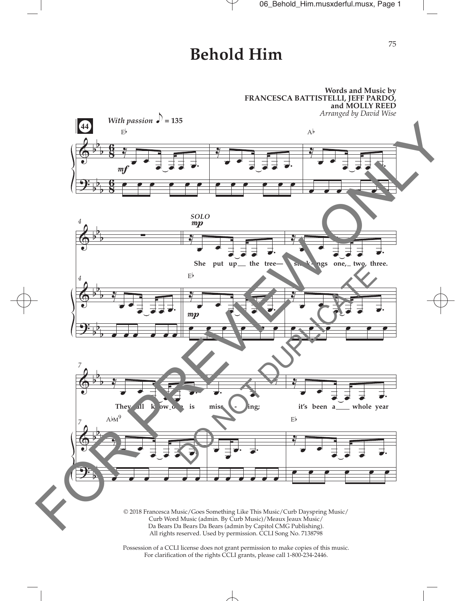## **Behold Him**



Possession of a CCLI license does not grant permission to make copies of this music. For clarifcation of the rights CCLI grants, please call 1-800-234-2446.

 $\overline{\phantom{a}}$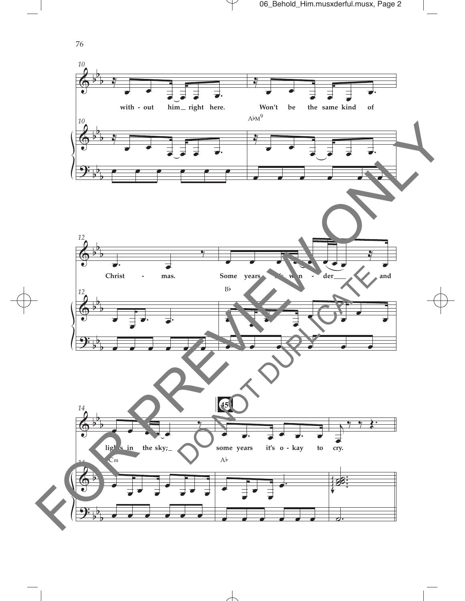



 $\overline{\phantom{a}}$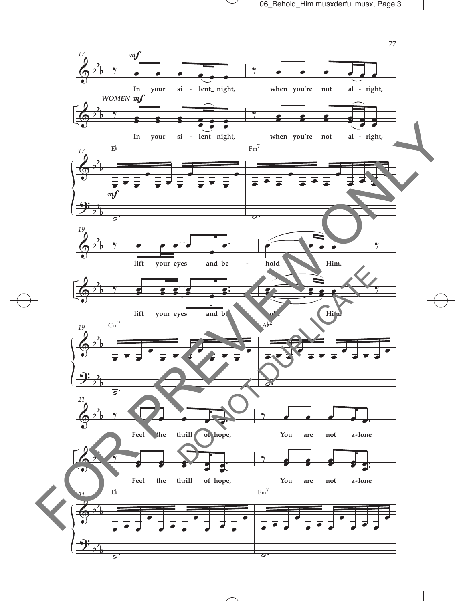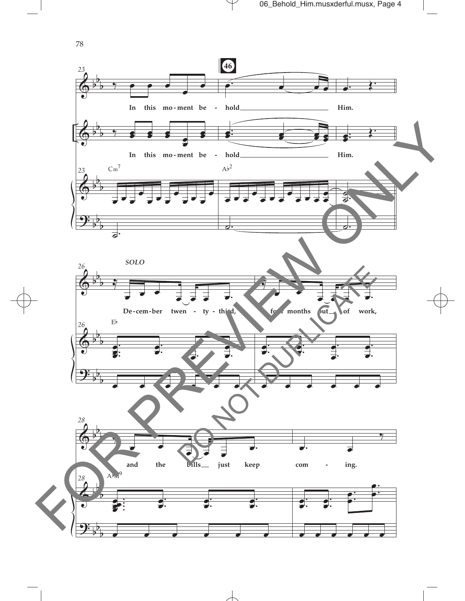

 $\overline{\mathcal{A}}$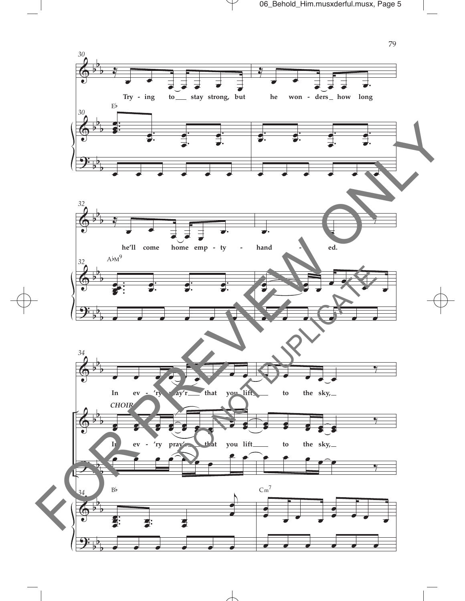

 $\overline{\mathcal{A}}$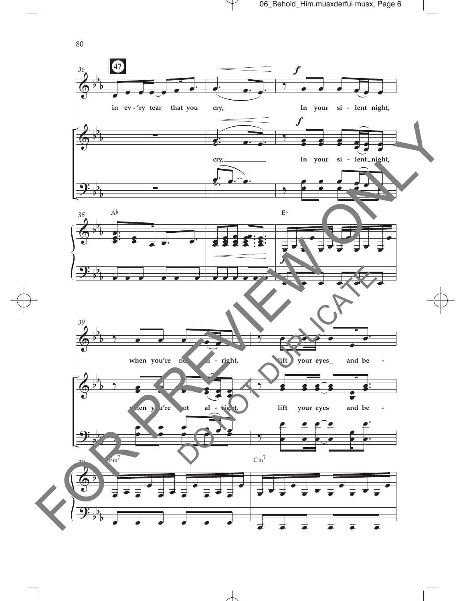

 $\overline{\phantom{a}}$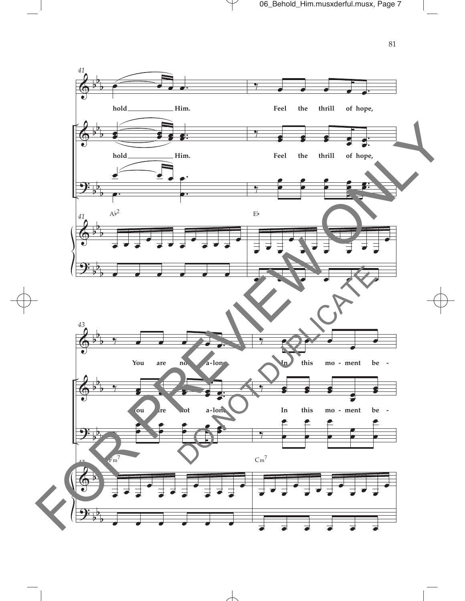

 $\overline{\mathcal{A}}$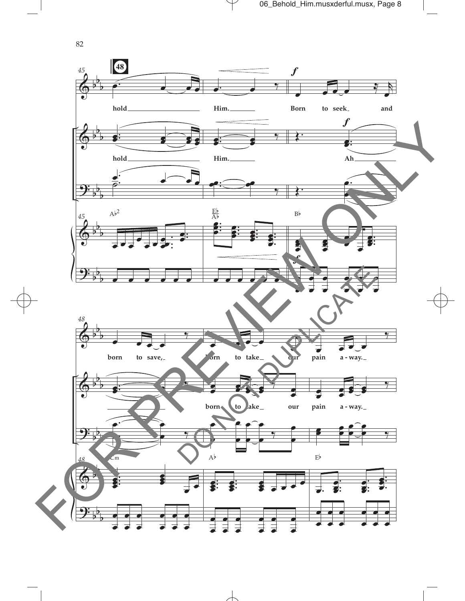

 $\overline{\mathcal{A}}$ 

82

 $\overline{\phantom{0}}$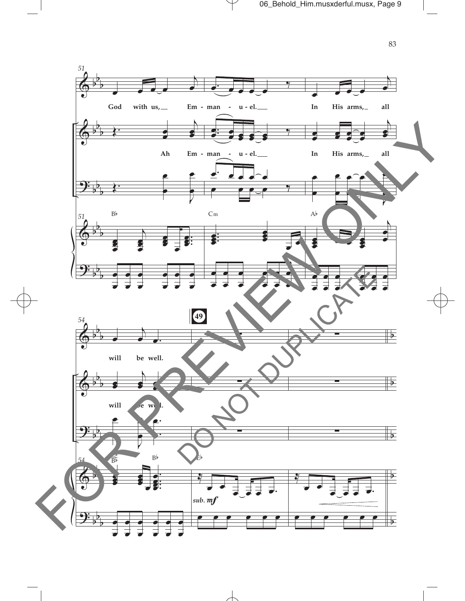

 $\overline{\mathcal{A}}$ 

 $\overline{\phantom{0}}$ 

 $\top$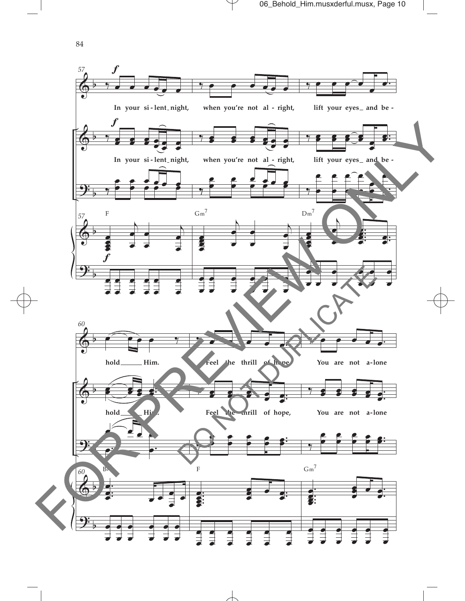



 $\overline{\phantom{a}}$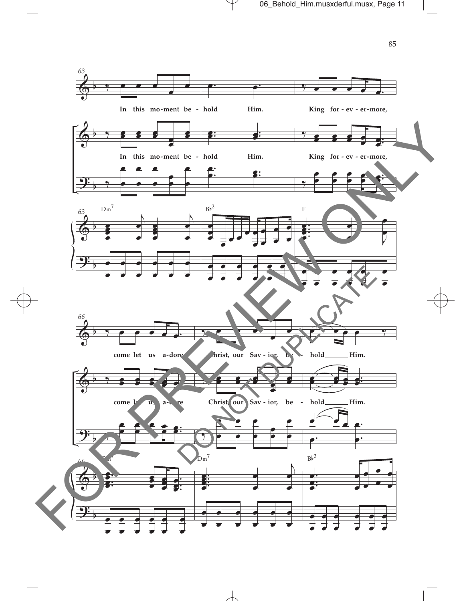

 $\overline{\mathcal{A}}$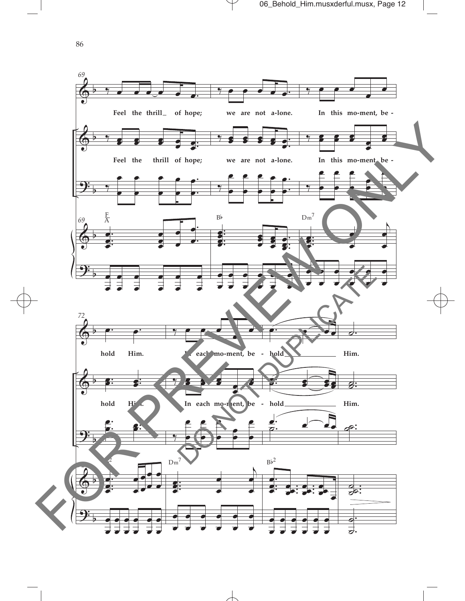86



 $\overline{\phantom{a}}$